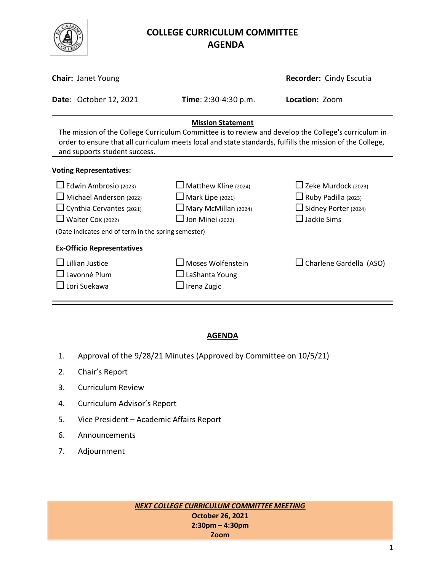

# **COLLEGE CURRICULUM COMMITTEE** **AGENDA**

|                                                                                                                                                                                                                                                                                | <b>Chair: Janet Young</b>      | Recorder: Cindy Escutia                                                                                          |                                                                                                                  |  |  |
|--------------------------------------------------------------------------------------------------------------------------------------------------------------------------------------------------------------------------------------------------------------------------------|--------------------------------|------------------------------------------------------------------------------------------------------------------|------------------------------------------------------------------------------------------------------------------|--|--|
|                                                                                                                                                                                                                                                                                | <b>Date: October 12, 2021</b>  | <b>Time</b> : 2:30-4:30 p.m.                                                                                     | Location: Zoom                                                                                                   |  |  |
| <b>Mission Statement</b><br>The mission of the College Curriculum Committee is to review and develop the College's curriculum in<br>order to ensure that all curriculum meets local and state standards, fulfills the mission of the College,<br>and supports student success. |                                |                                                                                                                  |                                                                                                                  |  |  |
|                                                                                                                                                                                                                                                                                | <b>Voting Representatives:</b> |                                                                                                                  |                                                                                                                  |  |  |
| $\Box$ Edwin Ambrosio (2023)<br>$\Box$ Michael Anderson (2022)<br>$\Box$ Cynthia Cervantes (2021)<br>$\Box$ Walter Cox (2022)                                                                                                                                                  |                                | $\Box$ Matthew Kline (2024)<br>$\Box$ Mark Lipe (2021)<br>$\Box$ Mary McMillan (2024)<br>$\Box$ Jon Minei (2022) | $\Box$ Zeke Murdock (2023)<br>$\Box$ Ruby Padilla (2023)<br>$\Box$ Sidney Porter (2024)<br>$\square$ Jackie Sims |  |  |
| (Date indicates end of term in the spring semester)<br><b>Ex-Officio Representatives</b>                                                                                                                                                                                       |                                |                                                                                                                  |                                                                                                                  |  |  |
| $\Box$ Lillian Justice<br>$\square$ Lavonné Plum<br>$\square$ Lori Suekawa                                                                                                                                                                                                     |                                | $\square$ Moses Wolfenstein<br>$\Box$ LaShanta Young<br>$\square$ Irena Zugic                                    | $\Box$ Charlene Gardella (ASO)                                                                                   |  |  |

### **AGENDA**

- 1. Approval of the 9/28/21 Minutes (Approved by Committee on 10/5/21)
- 2. Chair's Report
- 3. Curriculum Review
- 4. Curriculum Advisor's Report
- 5. Vice President Academic Affairs Report
- 6. Announcements
- 7. Adjournment

*NEXT COLLEGE CURRICULUM COMMITTEE MEETING* **October 26, 2021 2:30pm – 4:30pm Zoom**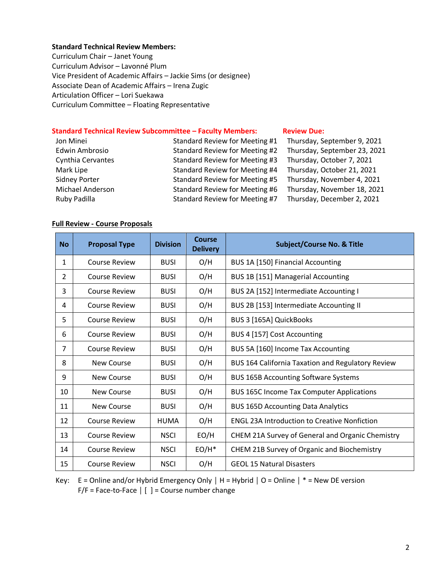#### **Standard Technical Review Members:**

Curriculum Chair – Janet Young Curriculum Advisor – Lavonné Plum Vice President of Academic Affairs – Jackie Sims (or designee) Associate Dean of Academic Affairs – Irena Zugic Articulation Officer – Lori Suekawa Curriculum Committee – Floating Representative

#### **Standard Technical Review Subcommittee – Faculty Members: [Review](http://www.curricunet.com/elcamino/documents/Spring%202016%20CCC%20Timeline.pdf) Due:**

| Jon Minei            | Standard Review for Meeting #1 | Thursday, September 9, 2021  |
|----------------------|--------------------------------|------------------------------|
| Edwin Ambrosio       | Standard Review for Meeting #2 | Thursday, September 23, 2021 |
| Cynthia Cervantes    | Standard Review for Meeting #3 | Thursday, October 7, 2021    |
| Mark Lipe            | Standard Review for Meeting #4 | Thursday, October 21, 2021   |
| <b>Sidney Porter</b> | Standard Review for Meeting #5 | Thursday, November 4, 2021   |
| Michael Anderson     | Standard Review for Meeting #6 | Thursday, November 18, 2021  |
| Ruby Padilla         | Standard Review for Meeting #7 | Thursday, December 2, 2021   |

#### **Full Review - Course Proposals**

| <b>No</b>      | <b>Proposal Type</b> | <b>Division</b> | Course<br><b>Delivery</b> | <b>Subject/Course No. &amp; Title</b>               |
|----------------|----------------------|-----------------|---------------------------|-----------------------------------------------------|
| 1              | <b>Course Review</b> | <b>BUSI</b>     | O/H                       | BUS 1A [150] Financial Accounting                   |
| $\overline{2}$ | <b>Course Review</b> | <b>BUSI</b>     | O/H                       | BUS 1B [151] Managerial Accounting                  |
| 3              | <b>Course Review</b> | <b>BUSI</b>     | O/H                       | BUS 2A [152] Intermediate Accounting I              |
| 4              | <b>Course Review</b> | <b>BUSI</b>     | O/H                       | BUS 2B [153] Intermediate Accounting II             |
| 5              | <b>Course Review</b> | <b>BUSI</b>     | O/H                       | BUS 3 [165A] QuickBooks                             |
| 6              | <b>Course Review</b> | <b>BUSI</b>     | O/H                       | BUS 4 [157] Cost Accounting                         |
| $\overline{7}$ | <b>Course Review</b> | <b>BUSI</b>     | O/H                       | BUS 5A [160] Income Tax Accounting                  |
| 8              | New Course           | <b>BUSI</b>     | O/H                       | BUS 164 California Taxation and Regulatory Review   |
| 9              | <b>New Course</b>    | <b>BUSI</b>     | O/H                       | <b>BUS 165B Accounting Software Systems</b>         |
| 10             | New Course           | <b>BUSI</b>     | O/H                       | <b>BUS 165C Income Tax Computer Applications</b>    |
| 11             | <b>New Course</b>    | <b>BUSI</b>     | O/H                       | <b>BUS 165D Accounting Data Analytics</b>           |
| 12             | <b>Course Review</b> | HUMA            | O/H                       | <b>ENGL 23A Introduction to Creative Nonfiction</b> |
| 13             | <b>Course Review</b> | <b>NSCI</b>     | EO/H                      | CHEM 21A Survey of General and Organic Chemistry    |
| 14             | <b>Course Review</b> | <b>NSCI</b>     | $EO/H^*$                  | CHEM 21B Survey of Organic and Biochemistry         |
| 15             | Course Review        | <b>NSCI</b>     | O/H                       | <b>GEOL 15 Natural Disasters</b>                    |

Key: E = Online and/or Hybrid Emergency Only **│** H = Hybrid **│** O = Online **│** \* = New DE version F/F = Face-to-Face **│** [ ] = Course number change